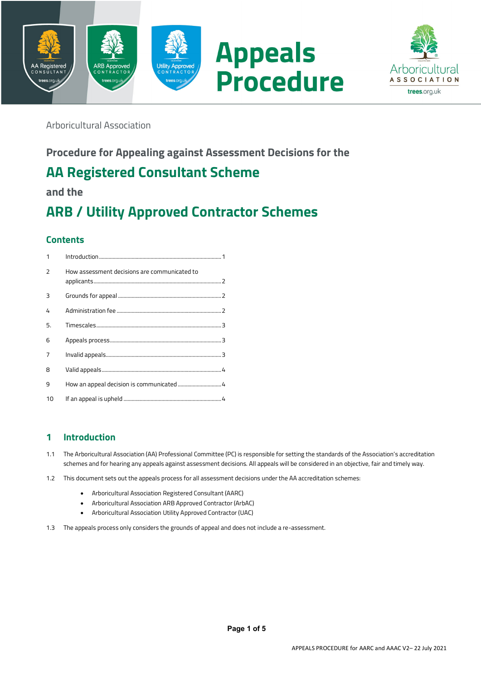



Arboricultural Association

# **Procedure for Appealing against Assessment Decisions for the**

# **AA Registered Consultant Scheme**

**and the**

# **ARB / Utility Approved Contractor Schemes**

# **Contents**

| 1  |                                              |
|----|----------------------------------------------|
| 2  | How assessment decisions are communicated to |
| 3  |                                              |
| 4  |                                              |
| 5. |                                              |
| 6  |                                              |
| 7  |                                              |
| 8  |                                              |
| 9  | How an appeal decision is communicated  4    |
| 10 |                                              |

## **1 Introduction**

- 1.1 The Arboricultural Association (AA) Professional Committee (PC) is responsible for setting the standards of the Association's accreditation schemes and for hearing any appeals against assessment decisions. All appeals will be considered in an objective, fair and timely way.
- 1.2 This document sets out the appeals process for all assessment decisions under the AA accreditation schemes:
	- Arboricultural Association Registered Consultant (AARC)
	- Arboricultural Association ARB Approved Contractor (ArbAC)
	- Arboricultural Association Utility Approved Contractor (UAC)
- 1.3 The appeals process only considers the grounds of appeal and does not include a re-assessment.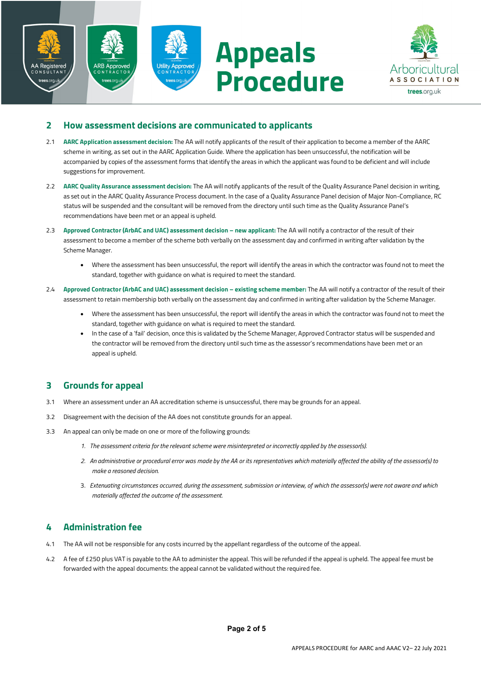



## **2 How assessment decisions are communicated to applicants**

- 2.1 **AARC Application assessment decision:** The AA will notify applicants of the result of their application to become a member of the AARC scheme in writing, as set out in the AARC Application Guide. Where the application has been unsuccessful, the notification will be accompanied by copies of the assessment forms that identify the areas in which the applicant was found to be deficient and will include suggestions for improvement.
- 2.2 **AARC Quality Assurance assessment decision:** The AA will notify applicants of the result of the Quality Assurance Panel decision in writing, as set out in the AARC Quality Assurance Process document. In the case of a Quality Assurance Panel decision of Major Non-Compliance, RC status will be suspended and the consultant will be removed from the directory until such time as the Quality Assurance Panel's recommendations have been met or an appeal is upheld.
- 2.3 **Approved Contractor (ArbAC and UAC) assessment decision – new applicant:** The AA will notify a contractor of the result of their assessment to become a member of the scheme both verbally on the assessment day and confirmed in writing after validation by the Scheme Manager.
	- Where the assessment has been unsuccessful, the report will identify the areas in which the contractor was found not to meet the standard, together with guidance on what is required to meet the standard.
- 2.4 **Approved Contractor (ArbAC and UAC) assessment decision – existing scheme member:** The AA will notify a contractor of the result of their assessment to retain membership both verbally on the assessment day and confirmed in writing after validation by the Scheme Manager.
	- Where the assessment has been unsuccessful, the report will identify the areas in which the contractor was found not to meet the standard, together with guidance on what is required to meet the standard.
	- In the case of a 'fail' decision, once this is validated by the Scheme Manager, Approved Contractor status will be suspended and the contractor will be removed from the directory until such time as the assessor's recommendations have been met or an appeal is upheld.

## **3 Grounds for appeal**

- 3.1 Where an assessment under an AA accreditation scheme is unsuccessful, there may be grounds for an appeal.
- 3.2 Disagreement with the decision of the AA does not constitute grounds for an appeal.
- 3.3 An appeal can only be made on one or more of the following grounds:
	- *1. The assessment criteria for the relevant scheme were misinterpreted or incorrectly applied by the assessor(s).*
	- *2. An administrative or procedural error was made by the AA or its representatives which materially affected the ability of the assessor(s) to make a reasoned decision.*
	- 3. *Extenuating circumstances occurred, during the assessment, submission or interview, of which the assessor(s) were not aware and which materially affected the outcome of the assessment.*

## **4 Administration fee**

- 4.1 The AA will not be responsible for any costs incurred by the appellant regardless of the outcome of the appeal.
- 4.2 A fee of £250 plus VAT is payable to the AA to administer the appeal. This will be refunded if the appeal is upheld. The appeal fee must be forwarded with the appeal documents: the appeal cannot be validated without the required fee.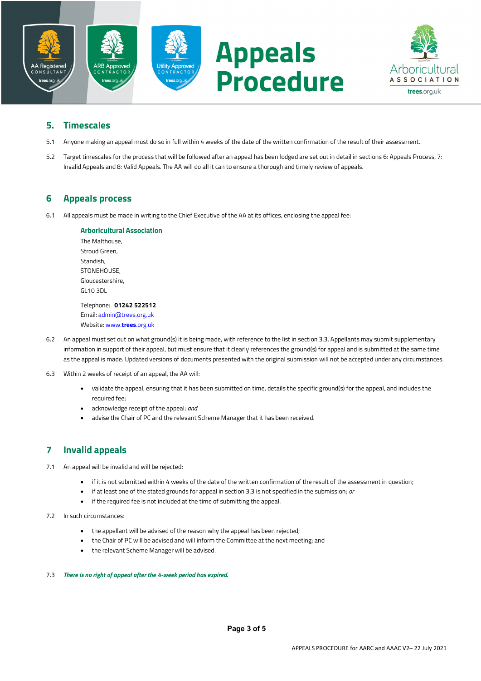



## **5. Timescales**

- 5.1 Anyone making an appeal must do so in full within 4 weeks of the date of the written confirmation of the result of their assessment.
- 5.2 Target timescales for the process that will be followed after an appeal has been lodged are set out in detail in sections 6: Appeals Process, 7: Invalid Appeals and 8: Valid Appeals. The AA will do all it can to ensure a thorough and timely review of appeals.

## **6 Appeals process**

6.1 All appeals must be made in writing to the Chief Executive of the AA at its offices, enclosing the appeal fee:

### **Arboricultural Association** The Malthouse, Stroud Green, Standish, STONEHOUSE,

Gloucestershire, GL10 3DL

Telephone: **01242 522512** Email: admin@trees.org.uk Website: www.**trees**.org.uk

- 6.2 An appeal must set out on what ground(s) it is being made, with reference to the list in section 3.3. Appellants may submit supplementary information in support of their appeal, but must ensure that it clearly references the ground(s) for appeal and is submitted at the same time as the appeal is made. Updated versions of documents presented with the original submission will not be accepted under any circumstances.
- 6.3 Within 2 weeks of receipt of an appeal, the AA will:
	- validate the appeal, ensuring that it has been submitted on time, details the specific ground(s) for the appeal, and includes the required fee;
	- acknowledge receipt of the appeal; *and*
	- advise the Chair of PC and the relevant Scheme Manager that it has been received.

## **7 Invalid appeals**

- 7.1 An appeal will be invalid and will be rejected:
	- if it is not submitted within 4 weeks of the date of the written confirmation of the result of the assessment in question;
	- if at least one of the stated grounds for appeal in section 3.3 is not specified in the submission; *or*
	- if the required fee is not included at the time of submitting the appeal.
- 7.2 In such circumstances:
	- the appellant will be advised of the reason why the appeal has been rejected;
	- the Chair of PC will be advised and will inform the Committee at the next meeting; and
	- the relevant Scheme Manager will be advised.

#### 7.3 *There is no right of appeal after the 4-week period has expired.*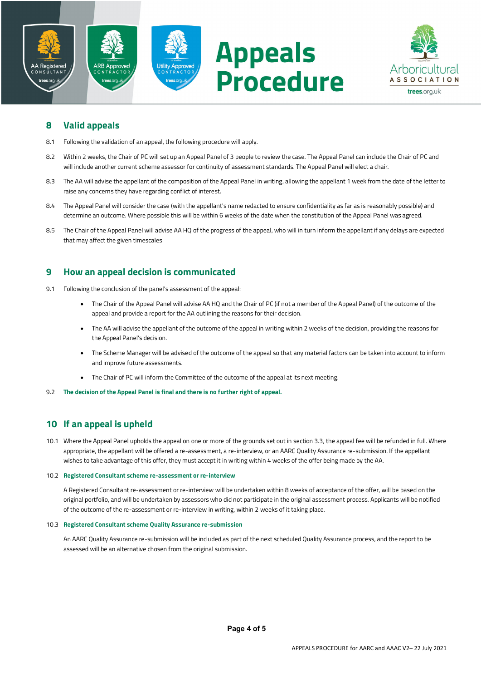



## **8 Valid appeals**

- 8.1 Following the validation of an appeal, the following procedure will apply.
- 8.2 Within 2 weeks, the Chair of PC will set up an Appeal Panel of 3 people to review the case. The Appeal Panel can include the Chair of PC and will include another current scheme assessor for continuity of assessment standards. The Appeal Panel will elect a chair.
- 8.3 The AA will advise the appellant of the composition of the Appeal Panel in writing, allowing the appellant 1 week from the date of the letter to raise any concerns they have regarding conflict of interest.
- 8.4 The Appeal Panel will consider the case (with the appellant's name redacted to ensure confidentiality as far as is reasonably possible) and determine an outcome. Where possible this will be within 6 weeks of the date when the constitution of the Appeal Panel was agreed.
- 8.5 The Chair of the Appeal Panel will advise AA HQ of the progress of the appeal, who will in turn inform the appellant if any delays are expected that may affect the given timescales

## **9 How an appeal decision is communicated**

- 9.1 Following the conclusion of the panel's assessment of the appeal:
	- The Chair of the Appeal Panel will advise AA HQ and the Chair of PC (if not a member of the Appeal Panel) of the outcome of the appeal and provide a report for the AA outlining the reasons for their decision.
	- The AA will advise the appellant of the outcome of the appeal in writing within 2 weeks of the decision, providing the reasons for the Appeal Panel's decision.
	- The Scheme Manager will be advised of the outcome of the appeal so that any material factors can be taken into account to inform and improve future assessments.
	- The Chair of PC will inform the Committee of the outcome of the appeal at its next meeting.
- 9.2 **The decision of the Appeal Panel is final and there is no further right of appeal.**

## **10 If an appeal is upheld**

10.1 Where the Appeal Panel upholds the appeal on one or more of the grounds set out in section 3.3, the appeal fee will be refunded in full. Where appropriate, the appellant will be offered a re-assessment, a re-interview, or an AARC Quality Assurance re-submission. If the appellant wishes to take advantage of this offer, they must accept it in writing within 4 weeks of the offer being made by the AA.

#### 10.2 **Registered Consultant scheme re-assessment or re-interview**

A Registered Consultant re-assessment or re-interview will be undertaken within 8 weeks of acceptance of the offer, will be based on the original portfolio, and will be undertaken by assessors who did not participate in the original assessment process. Applicants will be notified of the outcome of the re-assessment or re-interview in writing, within 2 weeks of it taking place.

#### 10.3 **Registered Consultant scheme Quality Assurance re-submission**

An AARC Quality Assurance re-submission will be included as part of the next scheduled Quality Assurance process, and the report to be assessed will be an alternative chosen from the original submission.